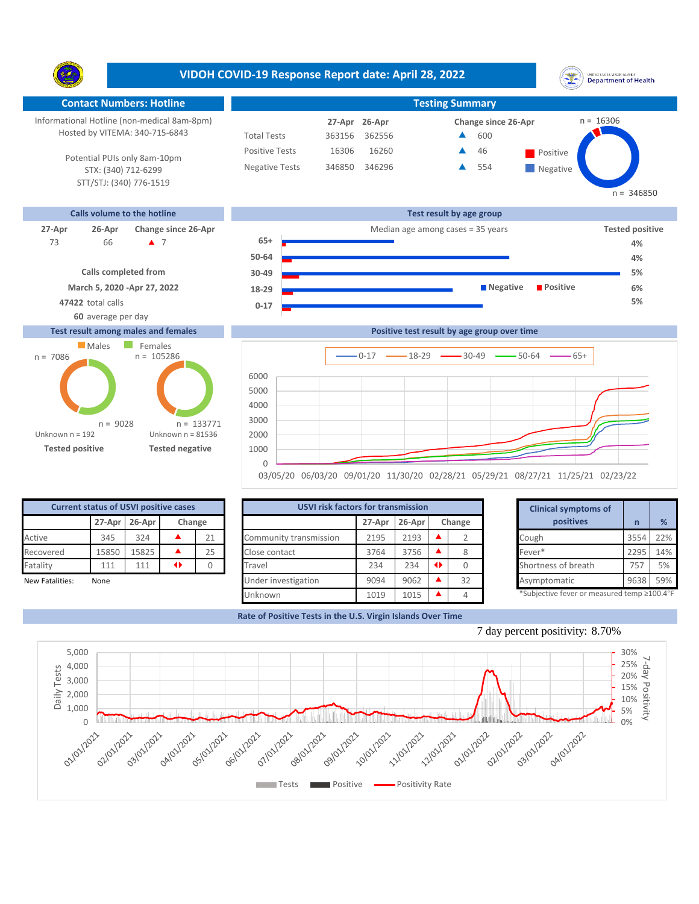**VIDOH COVID-19 Response Report date: April 28, 2022** UNITED STATES VIRGIN SLANDS<br>Department of Health Y. **Contact Numbers: Hotline Testing Summary** Informational Hotline (non-medical 8am-8pm) n = 16306 **26-Apr 27-Apr Change since 26-Apr** Hosted by VITEMA: 340-715-6843 Total Tests 363156 362556 600 ▲ Positive Tests 16306 16260 **A** 46 **Positive**  $\blacktriangle$ 46 Potential PUIs only 8am-10pm Negative Tests 346850 346296 ▲ 554 ▲ **Negative** STX: (340) 712-6299 STT/STJ: (340) 776-1519  $n = 346850$ **Calls volume to the hotline Test result by age group 27-Apr 26-Apr Change since 26-Apr** Median age among cases = 35 years **Tested positive 65+** 66 7 73 **4% 50-64 4% Calls completed from 30-49 5% March 5, 2020 -Apr 27, 2022 Negative Positive 6% 18-29 47422** total calls **5% 0-17 60** average per day **Test result among males and females Positive test result by age group over time Males** Females  $n = 105286$ n = 7086  $0-17$   $\longrightarrow$  18-29  $\longrightarrow$  30-49  $\longrightarrow$  50-64  $\longrightarrow$  65+



|  | <u>UJUJZU UUJUJZU UJJUIZU IIJJUJZU UZJZUJZI UJJZJJZI UUJZIJZI IIJZJJZI UZJZJ</u> |  |  |  |  |
|--|----------------------------------------------------------------------------------|--|--|--|--|
|  |                                                                                  |  |  |  |  |
|  |                                                                                  |  |  |  |  |

| <b>Current status of USVI positive cases</b> |                           |      |   |        |                        | <b>USVI risk factors for transmission</b> |        |  |           |  | <b>Clinical symptoms of</b>                                                                                                                 |      |     |
|----------------------------------------------|---------------------------|------|---|--------|------------------------|-------------------------------------------|--------|--|-----------|--|---------------------------------------------------------------------------------------------------------------------------------------------|------|-----|
|                                              | $27-Apr$ 26-Apr<br>Change |      |   | 27-Apr | 26-Apr                 |                                           | Change |  | positives |  | %                                                                                                                                           |      |     |
| Active                                       | 345                       | 324  |   | 21     | Community transmission | 2195                                      | 2193   |  |           |  | Cough                                                                                                                                       | 3554 | 22% |
| Recovered                                    | 15850                     | 5825 |   | 25     | Close contact          | 3764                                      | 3756   |  |           |  | Fever*                                                                                                                                      | 2295 | 14% |
| Fatality                                     | 111                       | 111  | ◆ |        | Travel                 | 234                                       | 234    |  |           |  | Shortness of breath                                                                                                                         | 757  | 5%  |
| New Fatalities:                              | None                      |      |   |        | Under investigation    | 9094                                      | 9062   |  | 32        |  | Asymptomatic                                                                                                                                | 9638 | 59% |
|                                              |                           |      |   |        |                        | .                                         | $  -$  |  |           |  | $R_{\rm C}$ . It is set that $\Gamma_{\rm C}$ is a set of the set of the set of the set of $\Gamma_{\rm C}$ and the set of $\Gamma_{\rm C}$ |      |     |

Unknown n = 81536

n = 133771

**Tested positive Tested negative**

n = 9028

Unknown n = 192

| <b>USVI risk factors for transmission</b> |                            | <b>Clinical symptoms of</b> |   |    |  |                             |  |  |
|-------------------------------------------|----------------------------|-----------------------------|---|----|--|-----------------------------|--|--|
|                                           | 26-Apr<br>Change<br>27-Apr |                             |   |    |  |                             |  |  |
| Community transmission                    | 2195                       | 2193                        |   |    |  | Cough                       |  |  |
| Close contact                             | 3764                       | 3756                        |   | 8  |  | Fever*                      |  |  |
| Travel                                    | 234                        | 234                         | ◆ |    |  | Shortness of breath         |  |  |
| Under investigation                       | 9094                       | 9062                        |   | 32 |  | Asymptomatic                |  |  |
| Unknown                                   | 1019                       | 1015                        |   | 4  |  | *Subjective fever or measur |  |  |

|        | for transmission |   |        | <b>Clinical symptoms of</b>                 |      |     |
|--------|------------------|---|--------|---------------------------------------------|------|-----|
| 27-Apr | 26-Apr           |   | Change | positives                                   | n    | %   |
| 2195   | 2193             |   |        | Cough                                       | 3554 | 22% |
| 3764   | 3756             |   | 8      | Fever*                                      | 2295 | 14% |
| 234    | 234              | ◆ | 0      | Shortness of breath                         | 757  | 5%  |
| 9094   | 9062             |   | 32     | Asymptomatic                                | 9638 | 59% |
| 1010   | 1015             |   |        | *Subjective fever or measured temp >100.4°F |      |     |

\*Subjective fever or measured temp ≥100.4°F